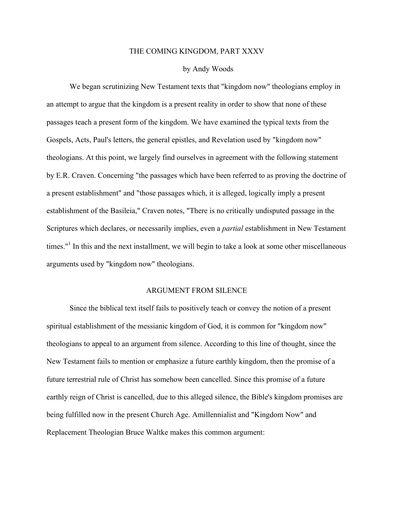#### THE COMING KINGDOM, PART XXXV

### by Andy Woods

We began scrutinizing New Testament texts that "kingdom now" theologians employ in an attempt to argue that the kingdom is a present reality in order to show that none of these passages teach a present form of the kingdom. We have examined the typical texts from the Gospels, Acts, Paul's letters, the general epistles, and Revelation used by "kingdom now" theologians. At this point, we largely find ourselves in agreement with the following statement by E.R. Craven. Concerning "the passages which have been referred to as proving the doctrine of a present establishment" and "those passages which, it is alleged, logically imply a present establishment of the Basileia," Craven notes, "There is no critically undisputed passage in the Scriptures which declares, or necessarily implies, even a *partial* establishment in New Testament times."<sup>1</sup> In this and the next installment, we will begin to take a look at some other miscellaneous arguments used by "kingdom now" theologians.

## ARGUMENT FROM SILENCE

Since the biblical text itself fails to positively teach or convey the notion of a present spiritual establishment of the messianic kingdom of God, it is common for "kingdom now" theologians to appeal to an argument from silence. According to this line of thought, since the New Testament fails to mention or emphasize a future earthly kingdom, then the promise of a future terrestrial rule of Christ has somehow been cancelled. Since this promise of a future earthly reign of Christ is cancelled, due to this alleged silence, the Bible's kingdom promises are being fulfilled now in the present Church Age. Amillennialist and "Kingdom Now" and Replacement Theologian Bruce Waltke makes this common argument: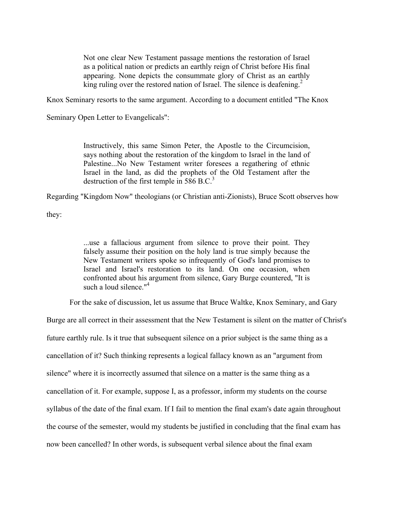Not one clear New Testament passage mentions the restoration of Israel as a political nation or predicts an earthly reign of Christ before His final appearing. None depicts the consummate glory of Christ as an earthly king ruling over the restored nation of Israel. The silence is deafening.<sup>2</sup>

Knox Seminary resorts to the same argument. According to a document entitled "The Knox

Seminary Open Letter to Evangelicals":

Instructively, this same Simon Peter, the Apostle to the Circumcision, says nothing about the restoration of the kingdom to Israel in the land of Palestine...No New Testament writer foresees a regathering of ethnic Israel in the land, as did the prophets of the Old Testament after the destruction of the first temple in  $586$  B.C.<sup>3</sup>

Regarding "Kingdom Now" theologians (or Christian anti-Zionists), Bruce Scott observes how

they:

...use a fallacious argument from silence to prove their point. They falsely assume their position on the holy land is true simply because the New Testament writers spoke so infrequently of God's land promises to Israel and Israel's restoration to its land. On one occasion, when confronted about his argument from silence, Gary Burge countered, "It is such a loud silence."<sup>4</sup>

For the sake of discussion, let us assume that Bruce Waltke, Knox Seminary, and Gary

Burge are all correct in their assessment that the New Testament is silent on the matter of Christ's future earthly rule. Is it true that subsequent silence on a prior subject is the same thing as a cancellation of it? Such thinking represents a logical fallacy known as an "argument from silence" where it is incorrectly assumed that silence on a matter is the same thing as a cancellation of it. For example, suppose I, as a professor, inform my students on the course syllabus of the date of the final exam. If I fail to mention the final exam's date again throughout the course of the semester, would my students be justified in concluding that the final exam has now been cancelled? In other words, is subsequent verbal silence about the final exam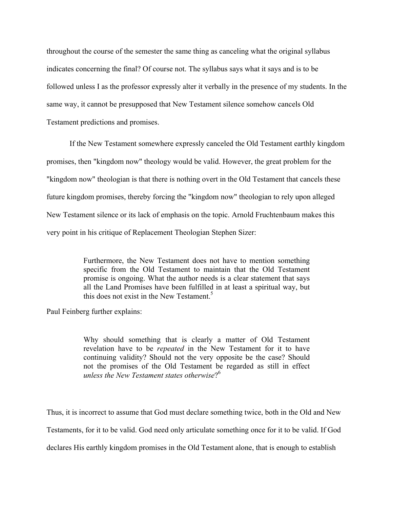throughout the course of the semester the same thing as canceling what the original syllabus indicates concerning the final? Of course not. The syllabus says what it says and is to be followed unless I as the professor expressly alter it verbally in the presence of my students. In the same way, it cannot be presupposed that New Testament silence somehow cancels Old Testament predictions and promises.

If the New Testament somewhere expressly canceled the Old Testament earthly kingdom promises, then "kingdom now" theology would be valid. However, the great problem for the "kingdom now" theologian is that there is nothing overt in the Old Testament that cancels these future kingdom promises, thereby forcing the "kingdom now" theologian to rely upon alleged New Testament silence or its lack of emphasis on the topic. Arnold Fruchtenbaum makes this very point in his critique of Replacement Theologian Stephen Sizer:

> Furthermore, the New Testament does not have to mention something specific from the Old Testament to maintain that the Old Testament promise is ongoing. What the author needs is a clear statement that says all the Land Promises have been fulfilled in at least a spiritual way, but this does not exist in the New Testament.<sup>5</sup>

Paul Feinberg further explains:

Why should something that is clearly a matter of Old Testament revelation have to be *repeated* in the New Testament for it to have continuing validity? Should not the very opposite be the case? Should not the promises of the Old Testament be regarded as still in effect *unless the New Testament states otherwise*? 6

Thus, it is incorrect to assume that God must declare something twice, both in the Old and New Testaments, for it to be valid. God need only articulate something once for it to be valid. If God declares His earthly kingdom promises in the Old Testament alone, that is enough to establish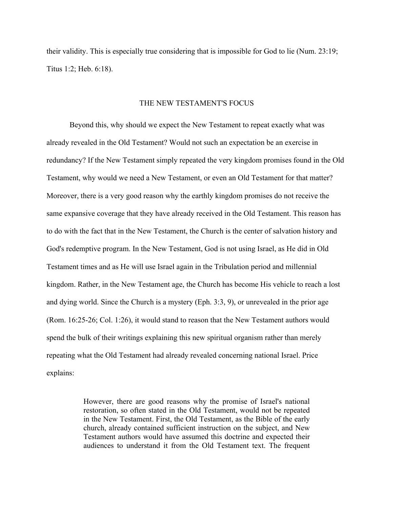their validity. This is especially true considering that is impossible for God to lie (Num. 23:19; Titus 1:2; Heb. 6:18).

# THE NEW TESTAMENT'S FOCUS

Beyond this, why should we expect the New Testament to repeat exactly what was already revealed in the Old Testament? Would not such an expectation be an exercise in redundancy? If the New Testament simply repeated the very kingdom promises found in the Old Testament, why would we need a New Testament, or even an Old Testament for that matter? Moreover, there is a very good reason why the earthly kingdom promises do not receive the same expansive coverage that they have already received in the Old Testament. This reason has to do with the fact that in the New Testament, the Church is the center of salvation history and God's redemptive program. In the New Testament, God is not using Israel, as He did in Old Testament times and as He will use Israel again in the Tribulation period and millennial kingdom. Rather, in the New Testament age, the Church has become His vehicle to reach a lost and dying world. Since the Church is a mystery (Eph. 3:3, 9), or unrevealed in the prior age (Rom. 16:25-26; Col. 1:26), it would stand to reason that the New Testament authors would spend the bulk of their writings explaining this new spiritual organism rather than merely repeating what the Old Testament had already revealed concerning national Israel. Price explains:

> However, there are good reasons why the promise of Israel's national restoration, so often stated in the Old Testament, would not be repeated in the New Testament. First, the Old Testament, as the Bible of the early church, already contained sufficient instruction on the subject, and New Testament authors would have assumed this doctrine and expected their audiences to understand it from the Old Testament text. The frequent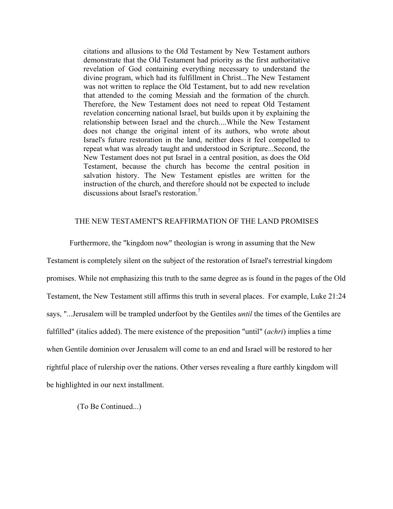citations and allusions to the Old Testament by New Testament authors demonstrate that the Old Testament had priority as the first authoritative revelation of God containing everything necessary to understand the divine program, which had its fulfillment in Christ...The New Testament was not written to replace the Old Testament, but to add new revelation that attended to the coming Messiah and the formation of the church. Therefore, the New Testament does not need to repeat Old Testament revelation concerning national Israel, but builds upon it by explaining the relationship between Israel and the church....While the New Testament does not change the original intent of its authors, who wrote about Israel's future restoration in the land, neither does it feel compelled to repeat what was already taught and understood in Scripture...Second, the New Testament does not put Israel in a central position, as does the Old Testament, because the church has become the central position in salvation history. The New Testament epistles are written for the instruction of the church, and therefore should not be expected to include discussions about Israel's restoration.<sup>7</sup>

## THE NEW TESTAMENT'S REAFFIRMATION OF THE LAND PROMISES

Furthermore, the "kingdom now" theologian is wrong in assuming that the New Testament is completely silent on the subject of the restoration of Israel's terrestrial kingdom promises. While not emphasizing this truth to the same degree as is found in the pages of the Old Testament, the New Testament still affirms this truth in several places. For example, Luke 21:24 says, "...Jerusalem will be trampled underfoot by the Gentiles *until* the times of the Gentiles are fulfilled" (italics added). The mere existence of the preposition "until" (*achri*) implies a time when Gentile dominion over Jerusalem will come to an end and Israel will be restored to her rightful place of rulership over the nations. Other verses revealing a fture earthly kingdom will be highlighted in our next installment.

(To Be Continued...)